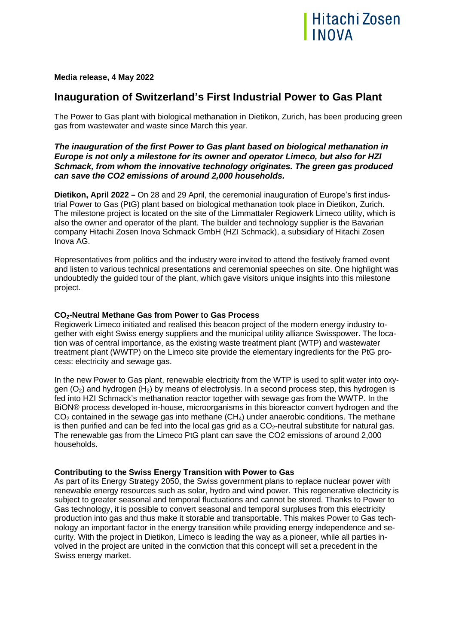

**Media release, 4 May 2022**

# **Inauguration of Switzerland's First Industrial Power to Gas Plant**

The Power to Gas plant with biological methanation in Dietikon, Zurich, has been producing green gas from wastewater and waste since March this year.

# *The inauguration of the first Power to Gas plant based on biological methanation in Europe is not only a milestone for its owner and operator Limeco, but also for HZI Schmack, from whom the innovative technology originates. The green gas produced can save the CO2 emissions of around 2,000 households.*

**Dietikon, April 2022** - On 28 and 29 April, the ceremonial inauguration of Europe's first industrial Power to Gas (PtG) plant based on biological methanation took place in Dietikon, Zurich. The milestone project is located on the site of the Limmattaler Regiowerk Limeco utility, which is also the owner and operator of the plant. The builder and technology supplier is the Bavarian company Hitachi Zosen Inova Schmack GmbH (HZI Schmack), a subsidiary of Hitachi Zosen Inova AG.

Representatives from politics and the industry were invited to attend the festively framed event and listen to various technical presentations and ceremonial speeches on site. One highlight was undoubtedly the guided tour of the plant, which gave visitors unique insights into this milestone project.

# **CO2-Neutral Methane Gas from Power to Gas Process**

Regiowerk Limeco initiated and realised this beacon project of the modern energy industry together with eight Swiss energy suppliers and the municipal utility alliance Swisspower. The location was of central importance, as the existing waste treatment plant (WTP) and wastewater treatment plant (WWTP) on the Limeco site provide the elementary ingredients for the PtG process: electricity and sewage gas.

In the new Power to Gas plant, renewable electricity from the WTP is used to split water into oxygen  $(O_2)$  and hydrogen  $(H_2)$  by means of electrolysis. In a second process step, this hydrogen is fed into HZI Schmack's methanation reactor together with sewage gas from the WWTP. In the BiON® process developed in-house, microorganisms in this bioreactor convert hydrogen and the  $CO<sub>2</sub>$  contained in the sewage gas into methane  $(CH<sub>4</sub>)$  under anaerobic conditions. The methane is then purified and can be fed into the local gas grid as a  $CO<sub>2</sub>$ -neutral substitute for natural gas. The renewable gas from the Limeco PtG plant can save the CO2 emissions of around 2,000 households.

# **Contributing to the Swiss Energy Transition with Power to Gas**

As part of its Energy Strategy 2050, the Swiss government plans to replace nuclear power with renewable energy resources such as solar, hydro and wind power. This regenerative electricity is subject to greater seasonal and temporal fluctuations and cannot be stored. Thanks to Power to Gas technology, it is possible to convert seasonal and temporal surpluses from this electricity production into gas and thus make it storable and transportable. This makes Power to Gas technology an important factor in the energy transition while providing energy independence and security. With the project in Dietikon, Limeco is leading the way as a pioneer, while all parties involved in the project are united in the conviction that this concept will set a precedent in the Swiss energy market.